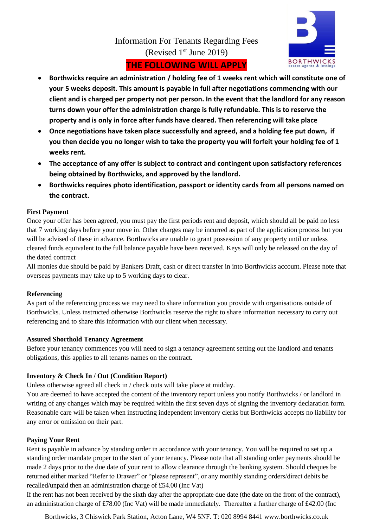

# Information For Tenants Regarding Fees (Revised  $1<sup>st</sup>$  June 2019)

## **THE FOLLOWING WILL APPLY**

- **Borthwicks require an administration / holding fee of 1 weeks rent which will constitute one of your 5 weeks deposit. This amount is payable in full after negotiations commencing with our client and is charged per property not per person. In the event that the landlord for any reason turns down your offer the administration charge is fully refundable. This is to reserve the property and is only in force after funds have cleared. Then referencing will take place**
- **Once negotiations have taken place successfully and agreed, and a holding fee put down, if you then decide you no longer wish to take the property you will forfeit your holding fee of 1 weeks rent.**
- **The acceptance of any offer is subject to contract and contingent upon satisfactory references being obtained by Borthwicks, and approved by the landlord.**
- **Borthwicks requires photo identification, passport or identity cards from all persons named on the contract.**

## **First Payment**

Once your offer has been agreed, you must pay the first periods rent and deposit, which should all be paid no less that 7 working days before your move in. Other charges may be incurred as part of the application process but you will be advised of these in advance. Borthwicks are unable to grant possession of any property until or unless cleared funds equivalent to the full balance payable have been received. Keys will only be released on the day of the dated contract

All monies due should be paid by Bankers Draft, cash or direct transfer in into Borthwicks account. Please note that overseas payments may take up to 5 working days to clear.

## **Referencing**

As part of the referencing process we may need to share information you provide with organisations outside of Borthwicks. Unless instructed otherwise Borthwicks reserve the right to share information necessary to carry out referencing and to share this information with our client when necessary.

## **Assured Shorthold Tenancy Agreement**

Before your tenancy commences you will need to sign a tenancy agreement setting out the landlord and tenants obligations, this applies to all tenants names on the contract.

## **Inventory & Check In / Out (Condition Report)**

Unless otherwise agreed all check in / check outs will take place at midday.

You are deemed to have accepted the content of the inventory report unless you notify Borthwicks / or landlord in writing of any changes which may be required within the first seven days of signing the inventory declaration form. Reasonable care will be taken when instructing independent inventory clerks but Borthwicks accepts no liability for any error or omission on their part.

## **Paying Your Rent**

Rent is payable in advance by standing order in accordance with your tenancy. You will be required to set up a standing order mandate proper to the start of your tenancy. Please note that all standing order payments should be made 2 days prior to the due date of your rent to allow clearance through the banking system. Should cheques be returned either marked "Refer to Drawer" or "please represent", or any monthly standing orders/direct debits be recalled/unpaid then an administration charge of £54.00 (Inc Vat)

If the rent has not been received by the sixth day after the appropriate due date (the date on the front of the contract), an administration charge of £78.00 (Inc Vat) will be made immediately. Thereafter a further charge of £42.00 (Inc

Borthwicks, 3 Chiswick Park Station, Acton Lane, W4 5NF. T: 020 8994 8441 www.borthwicks.co.uk